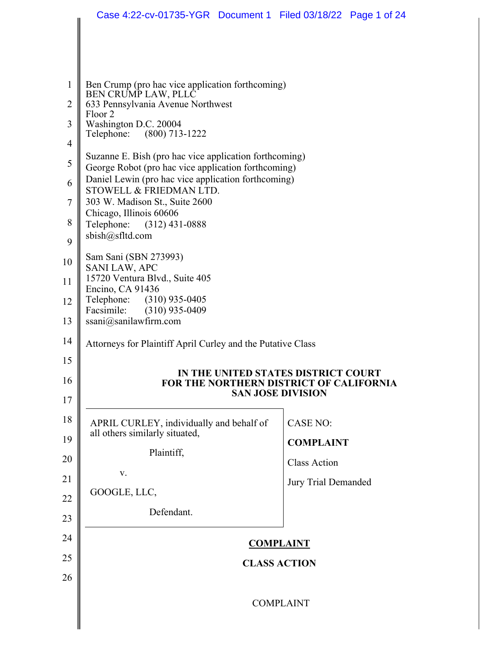|                | Case 4:22-cv-01735-YGR  Document 1  Filed 03/18/22  Page 1 of 24                                              |                                     |  |
|----------------|---------------------------------------------------------------------------------------------------------------|-------------------------------------|--|
|                |                                                                                                               |                                     |  |
|                |                                                                                                               |                                     |  |
| 1              | Ben Crump (pro hac vice application forthcoming)                                                              |                                     |  |
| $\overline{2}$ | BEN CRUMP LAW, PLLC<br>633 Pennsylvania Avenue Northwest<br>Floor 2                                           |                                     |  |
| 3              | Washington D.C. 20004<br>Telephone: (800) 713-1222                                                            |                                     |  |
| $\overline{4}$ |                                                                                                               |                                     |  |
| 5              | Suzanne E. Bish (pro hac vice application forthcoming)<br>George Robot (pro hac vice application forthcoming) |                                     |  |
| 6              | Daniel Lewin (pro hac vice application forthcoming)<br>STOWELL & FRIEDMAN LTD.                                |                                     |  |
| $\overline{7}$ | 303 W. Madison St., Suite 2600                                                                                |                                     |  |
| 8              | Chicago, Illinois 60606<br>Telephone: (312) 431-0888                                                          |                                     |  |
| 9              | sbish@sfltd.com                                                                                               |                                     |  |
| 10             | Sam Sani (SBN 273993)<br><b>SANI LAW, APC</b>                                                                 |                                     |  |
| 11             | 15720 Ventura Blvd., Suite 405<br>Encino, CA 91436                                                            |                                     |  |
| 12             | Telephone: (310) 935-0405                                                                                     |                                     |  |
| 13             | $(310)$ 935-0409<br>Facsimile:<br>ssani@sanilawfirm.com                                                       |                                     |  |
| 14             | Attorneys for Plaintiff April Curley and the Putative Class                                                   |                                     |  |
| 15             |                                                                                                               |                                     |  |
| 16             | FOR THE NORTHERN DISTRICT OF CALIFORNIA                                                                       | IN THE UNITED STATES DISTRICT COURT |  |
| 17             |                                                                                                               | <b>SAN JOSE DIVISION</b>            |  |
| 18             | APRIL CURLEY, individually and behalf of                                                                      | <b>CASE NO:</b>                     |  |
| 19             | all others similarly situated,<br>Plaintiff,                                                                  | <b>COMPLAINT</b>                    |  |
| 20             | V.                                                                                                            | <b>Class Action</b>                 |  |
| 21             | GOOGLE, LLC,                                                                                                  | Jury Trial Demanded                 |  |
| 22             | Defendant.                                                                                                    |                                     |  |
| 23             |                                                                                                               |                                     |  |
| 24             |                                                                                                               | <b>COMPLAINT</b>                    |  |
| 25             |                                                                                                               | <b>CLASS ACTION</b>                 |  |
| 26             |                                                                                                               |                                     |  |
|                |                                                                                                               | <b>COMPLAINT</b>                    |  |
|                |                                                                                                               |                                     |  |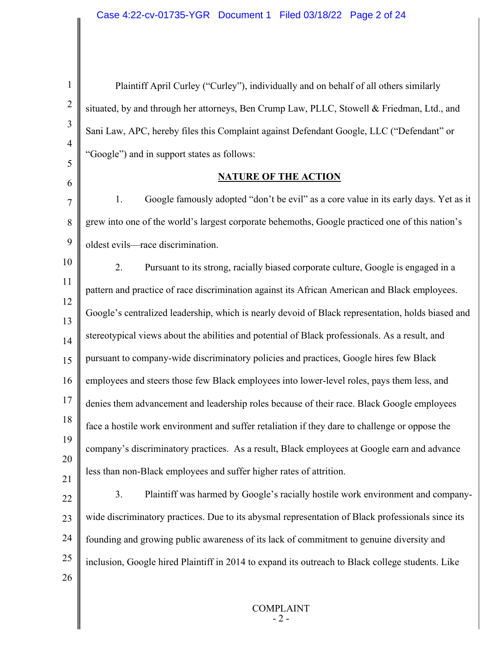| $\mathbf{1}$   | Plaintiff April Curley ("Curley"), individually and on behalf of all others similarly             |
|----------------|---------------------------------------------------------------------------------------------------|
| $\overline{2}$ | situated, by and through her attorneys, Ben Crump Law, PLLC, Stowell & Friedman, Ltd., and        |
| 3              | Sani Law, APC, hereby files this Complaint against Defendant Google, LLC ("Defendant" or          |
| $\overline{4}$ | "Google") and in support states as follows:                                                       |
| 5              | <b>NATURE OF THE ACTION</b>                                                                       |
| 6              |                                                                                                   |
| 7              | 1.<br>Google famously adopted "don't be evil" as a core value in its early days. Yet as it        |
| 8              | grew into one of the world's largest corporate behemoths, Google practiced one of this nation's   |
| 9              | oldest evils-race discrimination.                                                                 |
| 10             | 2.<br>Pursuant to its strong, racially biased corporate culture, Google is engaged in a           |
| 11             | pattern and practice of race discrimination against its African American and Black employees.     |
| 12<br>13       | Google's centralized leadership, which is nearly devoid of Black representation, holds biased and |
| 14             | stereotypical views about the abilities and potential of Black professionals. As a result, and    |
| 15             | pursuant to company-wide discriminatory policies and practices, Google hires few Black            |
| 16             | employees and steers those few Black employees into lower-level roles, pays them less, and        |
| 17             | denies them advancement and leadership roles because of their race. Black Google employees        |
| 18             | face a hostile work environment and suffer retaliation if they dare to challenge or oppose the    |
| 19             | company's discriminatory practices. As a result, Black employees at Google earn and advance       |
| 20<br>21       | less than non-Black employees and suffer higher rates of attrition.                               |
| 22             | Plaintiff was harmed by Google's racially hostile work environment and company-<br>3.             |
| 23             | wide discriminatory practices. Due to its abysmal representation of Black professionals since its |
| 24             | founding and growing public awareness of its lack of commitment to genuine diversity and          |
| 25             | inclusion, Google hired Plaintiff in 2014 to expand its outreach to Black college students. Like  |
| 26             |                                                                                                   |
|                |                                                                                                   |

 $\parallel$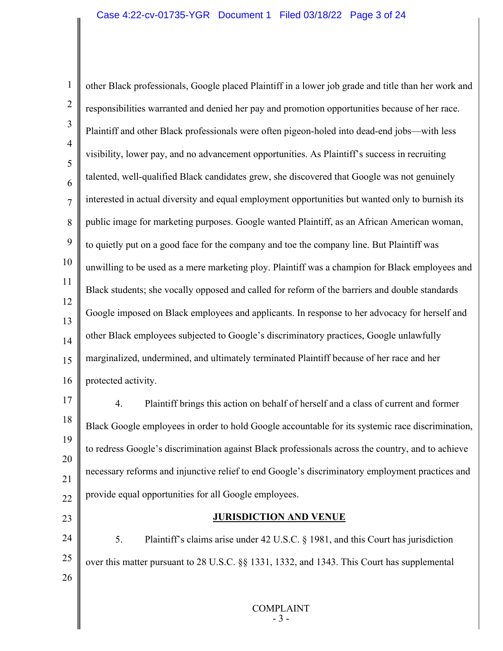1 2 3 4 5 6 7 8 9 10 11 12 13 14 15 16 17 18 19 20 21 22 23 24 25 26 other Black professionals, Google placed Plaintiff in a lower job grade and title than her work and responsibilities warranted and denied her pay and promotion opportunities because of her race. Plaintiff and other Black professionals were often pigeon-holed into dead-end jobs—with less visibility, lower pay, and no advancement opportunities. As Plaintiff's success in recruiting talented, well-qualified Black candidates grew, she discovered that Google was not genuinely interested in actual diversity and equal employment opportunities but wanted only to burnish its public image for marketing purposes. Google wanted Plaintiff, as an African American woman, to quietly put on a good face for the company and toe the company line. But Plaintiff was unwilling to be used as a mere marketing ploy. Plaintiff was a champion for Black employees and Black students; she vocally opposed and called for reform of the barriers and double standards Google imposed on Black employees and applicants. In response to her advocacy for herself and other Black employees subjected to Google's discriminatory practices, Google unlawfully marginalized, undermined, and ultimately terminated Plaintiff because of her race and her protected activity. 4. Plaintiff brings this action on behalf of herself and a class of current and former Black Google employees in order to hold Google accountable for its systemic race discrimination, to redress Google's discrimination against Black professionals across the country, and to achieve necessary reforms and injunctive relief to end Google's discriminatory employment practices and provide equal opportunities for all Google employees. **JURISDICTION AND VENUE** 5. Plaintiff's claims arise under 42 U.S.C. § 1981, and this Court has jurisdiction over this matter pursuant to 28 U.S.C. §§ 1331, 1332, and 1343. This Court has supplemental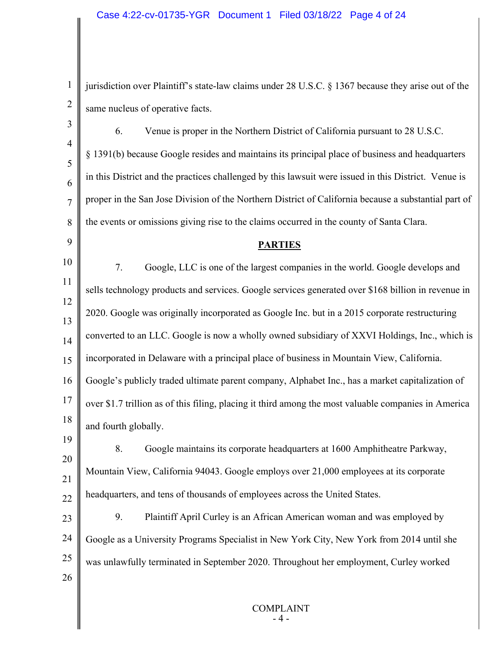1

2

9

jurisdiction over Plaintiff's state-law claims under 28 U.S.C. § 1367 because they arise out of the same nucleus of operative facts.

3 4 5 6 7 8 6. Venue is proper in the Northern District of California pursuant to 28 U.S.C. § 1391(b) because Google resides and maintains its principal place of business and headquarters in this District and the practices challenged by this lawsuit were issued in this District. Venue is proper in the San Jose Division of the Northern District of California because a substantial part of the events or omissions giving rise to the claims occurred in the county of Santa Clara.

## **PARTIES**

10 11 12 13 14 15 16 17 18 19 7. Google, LLC is one of the largest companies in the world. Google develops and sells technology products and services. Google services generated over \$168 billion in revenue in 2020. Google was originally incorporated as Google Inc. but in a 2015 corporate restructuring converted to an LLC. Google is now a wholly owned subsidiary of XXVI Holdings, Inc., which is incorporated in Delaware with a principal place of business in Mountain View, California. Google's publicly traded ultimate parent company, Alphabet Inc., has a market capitalization of over \$1.7 trillion as of this filing, placing it third among the most valuable companies in America and fourth globally.

20 21 22 8. Google maintains its corporate headquarters at 1600 Amphitheatre Parkway, Mountain View, California 94043. Google employs over 21,000 employees at its corporate headquarters, and tens of thousands of employees across the United States.

23 24 25 26 9. Plaintiff April Curley is an African American woman and was employed by Google as a University Programs Specialist in New York City, New York from 2014 until she was unlawfully terminated in September 2020. Throughout her employment, Curley worked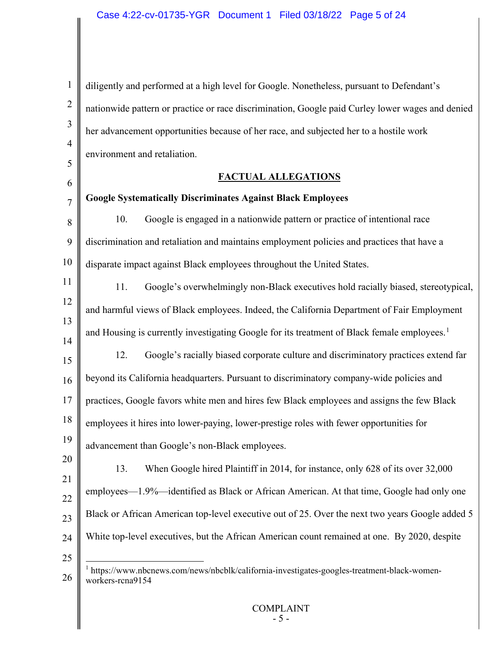<span id="page-4-0"></span>1 2 3 4 5 6 7 8 9 10 11 12 13 14 15 16 17 18 19 20 21 22 23 24 25 26 diligently and performed at a high level for Google. Nonetheless, pursuant to Defendant's nationwide pattern or practice or race discrimination, Google paid Curley lower wages and denied her advancement opportunities because of her race, and subjected her to a hostile work environment and retaliation. **FACTUAL ALLEGATIONS Google Systematically Discriminates Against Black Employees**  10. Google is engaged in a nationwide pattern or practice of intentional race discrimination and retaliation and maintains employment policies and practices that have a disparate impact against Black employees throughout the United States. 11. Google's overwhelmingly non-Black executives hold racially biased, stereotypical, and harmful views of Black employees. Indeed, the California Department of Fair Employment and Housing is currently investigating Google for its treatment of Black female employees.<sup>[1](#page-4-0)</sup> 12. Google's racially biased corporate culture and discriminatory practices extend far beyond its California headquarters. Pursuant to discriminatory company-wide policies and practices, Google favors white men and hires few Black employees and assigns the few Black employees it hires into lower-paying, lower-prestige roles with fewer opportunities for advancement than Google's non-Black employees. 13. When Google hired Plaintiff in 2014, for instance, only 628 of its over 32,000 employees—1.9%—identified as Black or African American. At that time, Google had only one Black or African American top-level executive out of 25. Over the next two years Google added 5 White top-level executives, but the African American count remained at one. By 2020, despite <sup>1</sup> https://www.nbcnews.com/news/nbcblk/california-investigates-googles-treatment-black-womenworkers-rcna9154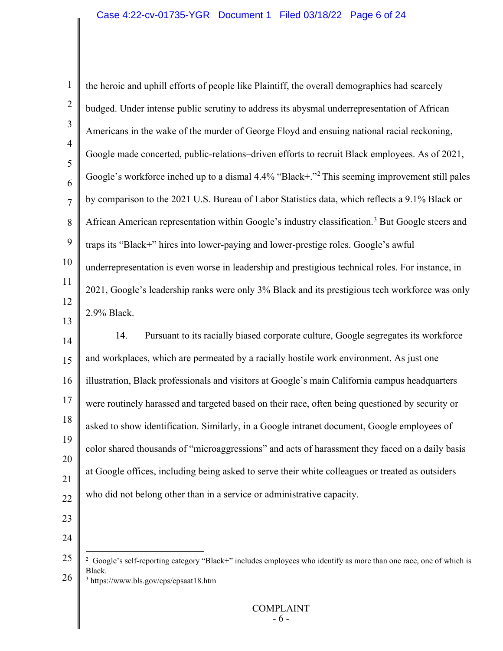<span id="page-5-1"></span><span id="page-5-0"></span>

| $\mathbf{1}$        | the heroic and uphill efforts of people like Plaintiff, the overall demographics had scarcely                                                                                                |
|---------------------|----------------------------------------------------------------------------------------------------------------------------------------------------------------------------------------------|
| $\overline{2}$      | budged. Under intense public scrutiny to address its abysmal underrepresentation of African                                                                                                  |
| 3                   | Americans in the wake of the murder of George Floyd and ensuing national racial reckoning,                                                                                                   |
| $\overline{4}$<br>5 | Google made concerted, public-relations-driven efforts to recruit Black employees. As of 2021,                                                                                               |
| 6                   | Google's workforce inched up to a dismal 4.4% "Black+." <sup>2</sup> This seeming improvement still pales                                                                                    |
| $\overline{7}$      | by comparison to the 2021 U.S. Bureau of Labor Statistics data, which reflects a 9.1% Black or                                                                                               |
| 8                   | African American representation within Google's industry classification. <sup>3</sup> But Google steers and                                                                                  |
| 9                   | traps its "Black+" hires into lower-paying and lower-prestige roles. Google's awful                                                                                                          |
| 10                  | underrepresentation is even worse in leadership and prestigious technical roles. For instance, in                                                                                            |
| 11                  | 2021, Google's leadership ranks were only 3% Black and its prestigious tech workforce was only                                                                                               |
| 12                  | 2.9% Black.                                                                                                                                                                                  |
| 13<br>14            | Pursuant to its racially biased corporate culture, Google segregates its workforce<br>14.                                                                                                    |
| 15                  | and workplaces, which are permeated by a racially hostile work environment. As just one                                                                                                      |
| 16                  | illustration, Black professionals and visitors at Google's main California campus headquarters                                                                                               |
| 17                  | were routinely harassed and targeted based on their race, often being questioned by security or                                                                                              |
| 18                  | asked to show identification. Similarly, in a Google intranet document, Google employees of                                                                                                  |
| 19                  | color shared thousands of "microaggressions" and acts of harassment they faced on a daily basis                                                                                              |
| 20<br>21            | at Google offices, including being asked to serve their white colleagues or treated as outsiders                                                                                             |
| 22                  | who did not belong other than in a service or administrative capacity.                                                                                                                       |
| 23                  |                                                                                                                                                                                              |
| 24                  |                                                                                                                                                                                              |
| 25<br>26            | <sup>2</sup> Google's self-reporting category "Black+" includes employees who identify as more than one race, one of which is<br>Black.<br><sup>3</sup> https://www.bls.gov/cps/cpsaat18.htm |
|                     | <b>COMPLAINT</b><br>- 6 -                                                                                                                                                                    |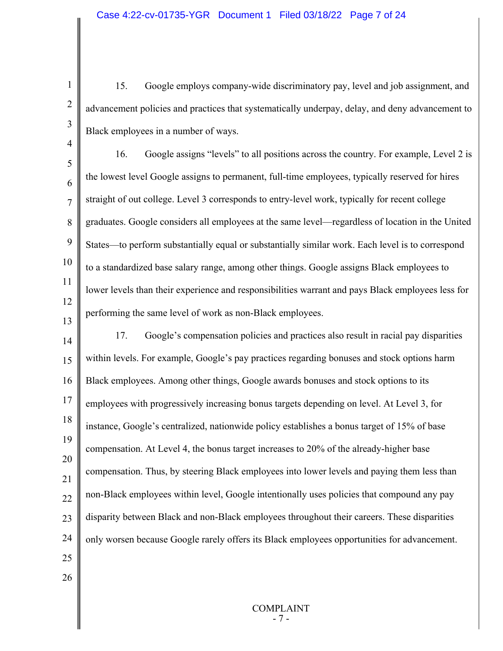15. Google employs company-wide discriminatory pay, level and job assignment, and advancement policies and practices that systematically underpay, delay, and deny advancement to Black employees in a number of ways.

5 6 7 8 9 10 11 12 13 16. Google assigns "levels" to all positions across the country. For example, Level 2 is the lowest level Google assigns to permanent, full-time employees, typically reserved for hires straight of out college. Level 3 corresponds to entry-level work, typically for recent college graduates. Google considers all employees at the same level—regardless of location in the United States—to perform substantially equal or substantially similar work. Each level is to correspond to a standardized base salary range, among other things. Google assigns Black employees to lower levels than their experience and responsibilities warrant and pays Black employees less for performing the same level of work as non-Black employees.

14 15 16 17 18 19 20 21 22 23 24 25 17. Google's compensation policies and practices also result in racial pay disparities within levels. For example, Google's pay practices regarding bonuses and stock options harm Black employees. Among other things, Google awards bonuses and stock options to its employees with progressively increasing bonus targets depending on level. At Level 3, for instance, Google's centralized, nationwide policy establishes a bonus target of 15% of base compensation. At Level 4, the bonus target increases to 20% of the already-higher base compensation. Thus, by steering Black employees into lower levels and paying them less than non-Black employees within level, Google intentionally uses policies that compound any pay disparity between Black and non-Black employees throughout their careers. These disparities only worsen because Google rarely offers its Black employees opportunities for advancement.

26

1

2

3

4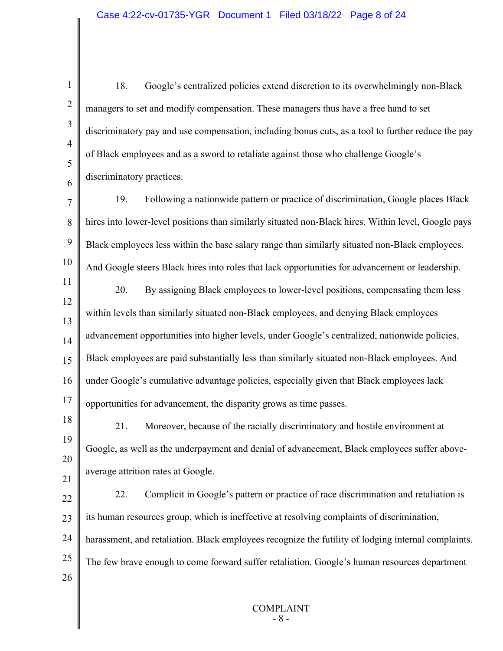1 2 3 4 5 6 7 8 9 10 11 12 13 14 15 16 17 18 19 20 21 22 23 24 25 26 18. Google's centralized policies extend discretion to its overwhelmingly non-Black managers to set and modify compensation. These managers thus have a free hand to set discriminatory pay and use compensation, including bonus cuts, as a tool to further reduce the pay of Black employees and as a sword to retaliate against those who challenge Google's discriminatory practices. 19. Following a nationwide pattern or practice of discrimination, Google places Black hires into lower-level positions than similarly situated non-Black hires. Within level, Google pays Black employees less within the base salary range than similarly situated non-Black employees. And Google steers Black hires into roles that lack opportunities for advancement or leadership. 20. By assigning Black employees to lower-level positions, compensating them less within levels than similarly situated non-Black employees, and denying Black employees advancement opportunities into higher levels, under Google's centralized, nationwide policies, Black employees are paid substantially less than similarly situated non-Black employees. And under Google's cumulative advantage policies, especially given that Black employees lack opportunities for advancement, the disparity grows as time passes. 21. Moreover, because of the racially discriminatory and hostile environment at Google, as well as the underpayment and denial of advancement, Black employees suffer aboveaverage attrition rates at Google. 22. Complicit in Google's pattern or practice of race discrimination and retaliation is its human resources group, which is ineffective at resolving complaints of discrimination, harassment, and retaliation. Black employees recognize the futility of lodging internal complaints. The few brave enough to come forward suffer retaliation. Google's human resources department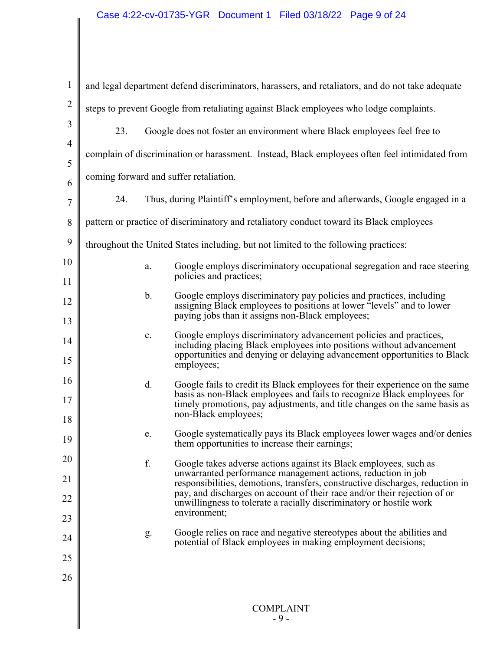| $\mathbf{1}$   | and legal department defend discriminators, harassers, and retaliators, and do not take adequate |               |                                                                                                                                                                                                                       |  |
|----------------|--------------------------------------------------------------------------------------------------|---------------|-----------------------------------------------------------------------------------------------------------------------------------------------------------------------------------------------------------------------|--|
| $\overline{2}$ | steps to prevent Google from retaliating against Black employees who lodge complaints.           |               |                                                                                                                                                                                                                       |  |
| 3              | 23.<br>Google does not foster an environment where Black employees feel free to                  |               |                                                                                                                                                                                                                       |  |
| $\overline{4}$ | complain of discrimination or harassment. Instead, Black employees often feel intimidated from   |               |                                                                                                                                                                                                                       |  |
| 5<br>6         | coming forward and suffer retaliation.                                                           |               |                                                                                                                                                                                                                       |  |
| $\overline{7}$ | Thus, during Plaintiff's employment, before and afterwards, Google engaged in a<br>24.           |               |                                                                                                                                                                                                                       |  |
| 8              |                                                                                                  |               | pattern or practice of discriminatory and retaliatory conduct toward its Black employees                                                                                                                              |  |
| 9              |                                                                                                  |               | throughout the United States including, but not limited to the following practices:                                                                                                                                   |  |
| 10             |                                                                                                  | a.            | Google employs discriminatory occupational segregation and race steering                                                                                                                                              |  |
| 11             |                                                                                                  |               | policies and practices;                                                                                                                                                                                               |  |
| 12             |                                                                                                  | $\mathbf b$ . | Google employs discriminatory pay policies and practices, including<br>assigning Black employees to positions at lower "levels" and to lower                                                                          |  |
| 13             |                                                                                                  |               | paying jobs than it assigns non-Black employees;                                                                                                                                                                      |  |
| 14             |                                                                                                  | c.            | Google employs discriminatory advancement policies and practices,<br>including placing Black employees into positions without advancement<br>opportunities and denying or delaying advancement opportunities to Black |  |
| 15             |                                                                                                  |               | employees;                                                                                                                                                                                                            |  |
| 16<br>17       |                                                                                                  | d.            | Google fails to credit its Black employees for their experience on the same<br>basis as non-Black employees and fails to recognize Black employees for                                                                |  |
| 18             |                                                                                                  |               | timely promotions, pay adjustments, and title changes on the same basis as<br>non-Black employees;                                                                                                                    |  |
| 19             |                                                                                                  | e.            | Google systematically pays its Black employees lower wages and/or denies<br>them opportunities to increase their earnings;                                                                                            |  |
| 20             |                                                                                                  | f.            | Google takes adverse actions against its Black employees, such as                                                                                                                                                     |  |
| 21             |                                                                                                  |               | unwarranted performance management actions, reduction in job<br>responsibilities, demotions, transfers, constructive discharges, reduction in                                                                         |  |
| 22             |                                                                                                  |               | pay, and discharges on account of their race and/or their rejection of or<br>unwillingness to tolerate a racially discriminatory or hostile work                                                                      |  |
| 23             |                                                                                                  |               | environment;                                                                                                                                                                                                          |  |
| 24             |                                                                                                  | g.            | Google relies on race and negative stereotypes about the abilities and<br>potential of Black employees in making employment decisions;                                                                                |  |
| 25             |                                                                                                  |               |                                                                                                                                                                                                                       |  |
| 26             |                                                                                                  |               |                                                                                                                                                                                                                       |  |
|                |                                                                                                  |               | <b>COMPLAINT</b>                                                                                                                                                                                                      |  |
|                |                                                                                                  |               | - 9 -                                                                                                                                                                                                                 |  |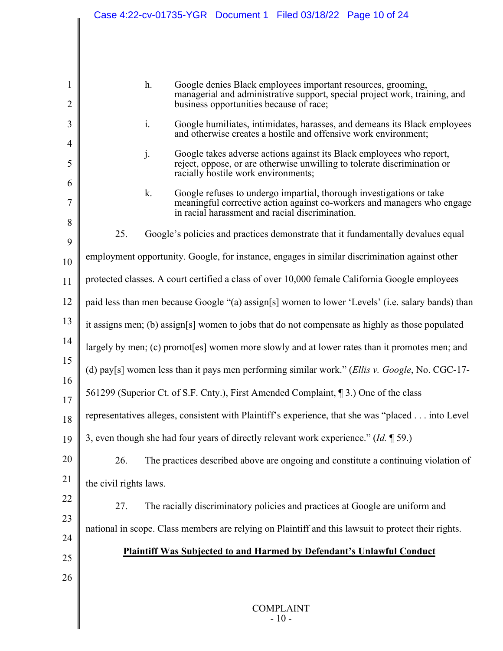|                | Case 4:22-cv-01735-YGR  Document 1  Filed 03/18/22  Page 10 of 24                                                                                     |  |  |
|----------------|-------------------------------------------------------------------------------------------------------------------------------------------------------|--|--|
|                |                                                                                                                                                       |  |  |
|                |                                                                                                                                                       |  |  |
|                |                                                                                                                                                       |  |  |
| 1              | h.<br>Google denies Black employees important resources, grooming,<br>managerial and administrative support, special project work, training, and      |  |  |
| $\overline{2}$ | business opportunities because of race;                                                                                                               |  |  |
| 3              | i.<br>Google humiliates, intimidates, harasses, and demeans its Black employees<br>and otherwise creates a hostile and offensive work environment;    |  |  |
| 4              | j.<br>Google takes adverse actions against its Black employees who report,                                                                            |  |  |
| 5<br>6         | reject, oppose, or are otherwise unwilling to tolerate discrimination or<br>racially hostile work environments;                                       |  |  |
| 7              | k.<br>Google refuses to undergo impartial, thorough investigations or take<br>meaningful corrective action against co-workers and managers who engage |  |  |
| 8              | in racial harassment and racial discrimination.                                                                                                       |  |  |
| 9              | 25.<br>Google's policies and practices demonstrate that it fundamentally devalues equal                                                               |  |  |
| 10             | employment opportunity. Google, for instance, engages in similar discrimination against other                                                         |  |  |
| 11             | protected classes. A court certified a class of over 10,000 female California Google employees                                                        |  |  |
| 12             | paid less than men because Google "(a) assign[s] women to lower 'Levels' (i.e. salary bands) than                                                     |  |  |
| 13             | it assigns men; (b) assign[s] women to jobs that do not compensate as highly as those populated                                                       |  |  |
| 14             | largely by men; (c) promot [es] women more slowly and at lower rates than it promotes men; and                                                        |  |  |
| 15<br>16       | (d) pay[s] women less than it pays men performing similar work." (Ellis v. Google, No. CGC-17-                                                        |  |  |
| 17             | 561299 (Superior Ct. of S.F. Cnty.), First Amended Complaint, [3.] One of the class                                                                   |  |  |
| 18             | representatives alleges, consistent with Plaintiff's experience, that she was "placed into Level                                                      |  |  |
| 19             | 3, even though she had four years of directly relevant work experience." $(Id. \P 59.)$                                                               |  |  |
| 20             | The practices described above are ongoing and constitute a continuing violation of<br>26.                                                             |  |  |
| 21             | the civil rights laws.                                                                                                                                |  |  |
| 22             | 27.<br>The racially discriminatory policies and practices at Google are uniform and                                                                   |  |  |
| 23             | national in scope. Class members are relying on Plaintiff and this lawsuit to protect their rights.                                                   |  |  |
| 24             | <b>Plaintiff Was Subjected to and Harmed by Defendant's Unlawful Conduct</b>                                                                          |  |  |
| 25             |                                                                                                                                                       |  |  |
| 26             |                                                                                                                                                       |  |  |
|                | <b>COMPLAINT</b>                                                                                                                                      |  |  |
|                | $-10-$                                                                                                                                                |  |  |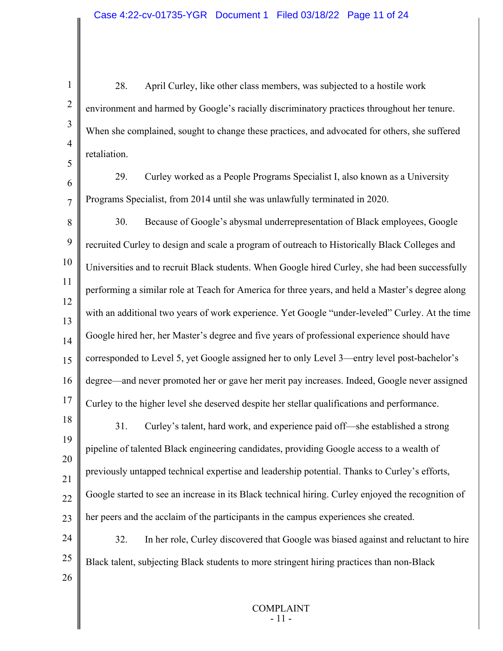1 2 3 4 5 6 7 8 9 10 11 12 13 14 15 16 17 18 19 20 21 22 23 24 25 26 28. April Curley, like other class members, was subjected to a hostile work environment and harmed by Google's racially discriminatory practices throughout her tenure. When she complained, sought to change these practices, and advocated for others, she suffered retaliation. 29. Curley worked as a People Programs Specialist I, also known as a University Programs Specialist, from 2014 until she was unlawfully terminated in 2020. 30. Because of Google's abysmal underrepresentation of Black employees, Google recruited Curley to design and scale a program of outreach to Historically Black Colleges and Universities and to recruit Black students. When Google hired Curley, she had been successfully performing a similar role at Teach for America for three years, and held a Master's degree along with an additional two years of work experience. Yet Google "under-leveled" Curley. At the time Google hired her, her Master's degree and five years of professional experience should have corresponded to Level 5, yet Google assigned her to only Level 3—entry level post-bachelor's degree—and never promoted her or gave her merit pay increases. Indeed, Google never assigned Curley to the higher level she deserved despite her stellar qualifications and performance. 31. Curley's talent, hard work, and experience paid off—she established a strong pipeline of talented Black engineering candidates, providing Google access to a wealth of previously untapped technical expertise and leadership potential. Thanks to Curley's efforts, Google started to see an increase in its Black technical hiring. Curley enjoyed the recognition of her peers and the acclaim of the participants in the campus experiences she created. 32. In her role, Curley discovered that Google was biased against and reluctant to hire Black talent, subjecting Black students to more stringent hiring practices than non-Black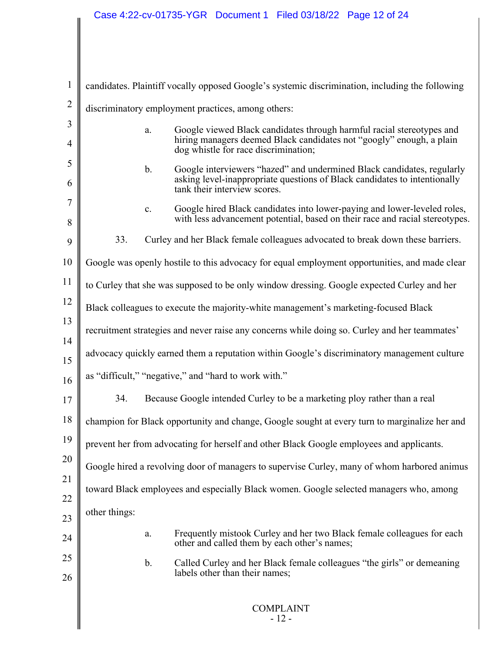$\mathsf{I}$ 

| $\mathbf{1}$   |                                                                                                                                                                                             |  |  |
|----------------|---------------------------------------------------------------------------------------------------------------------------------------------------------------------------------------------|--|--|
| $\overline{2}$ | candidates. Plaintiff vocally opposed Google's systemic discrimination, including the following                                                                                             |  |  |
| 3              | discriminatory employment practices, among others:                                                                                                                                          |  |  |
| $\overline{4}$ | Google viewed Black candidates through harmful racial stereotypes and<br>a.<br>hiring managers deemed Black candidates not "googly" enough, a plain<br>dog whistle for race discrimination; |  |  |
| 5              | $\mathbf{b}$ .<br>Google interviewers "hazed" and undermined Black candidates, regularly                                                                                                    |  |  |
| 6              | asking level-inappropriate questions of Black candidates to intentionally<br>tank their interview scores.                                                                                   |  |  |
| 7<br>8         | Google hired Black candidates into lower-paying and lower-leveled roles,<br>c.<br>with less advancement potential, based on their race and racial stereotypes.                              |  |  |
| 9              | Curley and her Black female colleagues advocated to break down these barriers.<br>33.                                                                                                       |  |  |
| 10             | Google was openly hostile to this advocacy for equal employment opportunities, and made clear                                                                                               |  |  |
| 11             | to Curley that she was supposed to be only window dressing. Google expected Curley and her                                                                                                  |  |  |
| 12             | Black colleagues to execute the majority-white management's marketing-focused Black                                                                                                         |  |  |
| 13             | recruitment strategies and never raise any concerns while doing so. Curley and her teammates'                                                                                               |  |  |
| 14<br>15       | advocacy quickly earned them a reputation within Google's discriminatory management culture                                                                                                 |  |  |
| 16             | as "difficult," "negative," and "hard to work with."                                                                                                                                        |  |  |
| 17             | 34.<br>Because Google intended Curley to be a marketing ploy rather than a real                                                                                                             |  |  |
| 18             | champion for Black opportunity and change, Google sought at every turn to marginalize her and                                                                                               |  |  |
| 19             | prevent her from advocating for herself and other Black Google employees and applicants.                                                                                                    |  |  |
| 20             | Google hired a revolving door of managers to supervise Curley, many of whom harbored animus                                                                                                 |  |  |
| 21             | toward Black employees and especially Black women. Google selected managers who, among                                                                                                      |  |  |
| 22             | other things:                                                                                                                                                                               |  |  |
| 23             | Frequently mistook Curley and her two Black female colleagues for each<br>a.                                                                                                                |  |  |
| 24<br>25       | other and called them by each other's names;                                                                                                                                                |  |  |
| 26             | Called Curley and her Black female colleagues "the girls" or demeaning<br>$\mathbf b$ .<br>labels other than their names;                                                                   |  |  |
|                | <b>COMPLAINT</b><br>$-12-$                                                                                                                                                                  |  |  |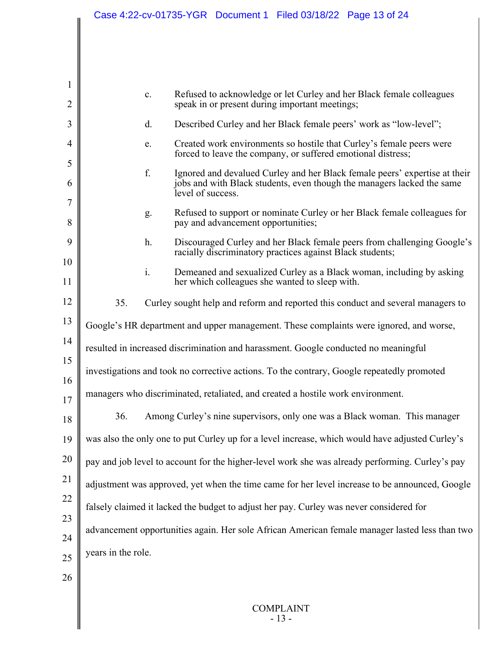|                     |                                                                                 | Case 4:22-cv-01735-YGR  Document 1  Filed 03/18/22  Page 13 of 24                                                                          |  |
|---------------------|---------------------------------------------------------------------------------|--------------------------------------------------------------------------------------------------------------------------------------------|--|
|                     |                                                                                 |                                                                                                                                            |  |
|                     |                                                                                 |                                                                                                                                            |  |
|                     |                                                                                 |                                                                                                                                            |  |
| $\mathbf{1}$        |                                                                                 |                                                                                                                                            |  |
| $\overline{c}$      |                                                                                 | Refused to acknowledge or let Curley and her Black female colleagues<br>$\mathbf{c}$ .<br>speak in or present during important meetings;   |  |
| 3                   |                                                                                 | Described Curley and her Black female peers' work as "low-level";<br>d.                                                                    |  |
| 4                   |                                                                                 | Created work environments so hostile that Curley's female peers were<br>e.<br>forced to leave the company, or suffered emotional distress; |  |
| 5                   |                                                                                 | f.<br>Ignored and devalued Curley and her Black female peers' expertise at their                                                           |  |
| 6                   |                                                                                 | jobs and with Black students, even though the managers lacked the same<br>level of success.                                                |  |
| $\overline{7}$<br>8 |                                                                                 | Refused to support or nominate Curley or her Black female colleagues for<br>g.<br>pay and advancement opportunities;                       |  |
| 9                   |                                                                                 | h.<br>Discouraged Curley and her Black female peers from challenging Google's<br>racially discriminatory practices against Black students; |  |
| 10<br>11            |                                                                                 | i.<br>Demeaned and sexualized Curley as a Black woman, including by asking<br>her which colleagues she wanted to sleep with.               |  |
| 12                  | 35.                                                                             | Curley sought help and reform and reported this conduct and several managers to                                                            |  |
| 13                  |                                                                                 | Google's HR department and upper management. These complaints were ignored, and worse,                                                     |  |
| 14                  |                                                                                 | resulted in increased discrimination and harassment. Google conducted no meaningful                                                        |  |
| 15<br>16            |                                                                                 | investigations and took no corrective actions. To the contrary, Google repeatedly promoted                                                 |  |
| 17                  | managers who discriminated, retaliated, and created a hostile work environment. |                                                                                                                                            |  |
| 18                  | 36.                                                                             | Among Curley's nine supervisors, only one was a Black woman. This manager                                                                  |  |
| 19                  |                                                                                 | was also the only one to put Curley up for a level increase, which would have adjusted Curley's                                            |  |
| 20                  |                                                                                 | pay and job level to account for the higher-level work she was already performing. Curley's pay                                            |  |
| 21                  |                                                                                 | adjustment was approved, yet when the time came for her level increase to be announced, Google                                             |  |
| 22                  |                                                                                 | falsely claimed it lacked the budget to adjust her pay. Curley was never considered for                                                    |  |
| 23                  |                                                                                 |                                                                                                                                            |  |
| 24                  |                                                                                 | advancement opportunities again. Her sole African American female manager lasted less than two                                             |  |
| 25                  | years in the role.                                                              |                                                                                                                                            |  |
| 26                  |                                                                                 |                                                                                                                                            |  |
|                     |                                                                                 |                                                                                                                                            |  |
|                     |                                                                                 | <b>COMPLAINT</b><br>$-13-$                                                                                                                 |  |
|                     |                                                                                 |                                                                                                                                            |  |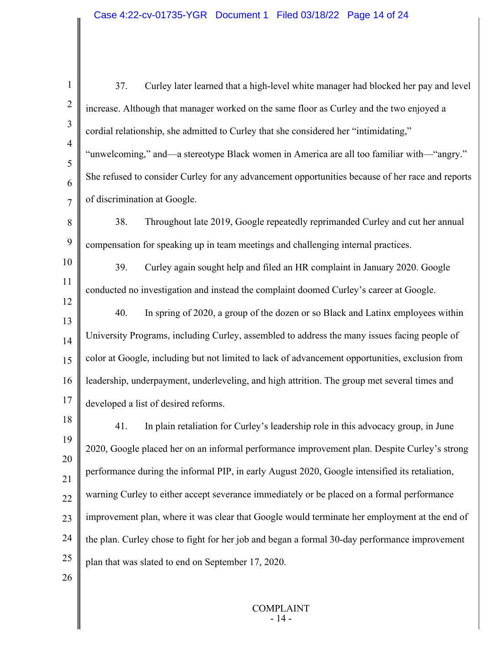1 2 3 4 5 6 7 8 9 10 11 12 13 14 15 16 17 18 19 20 21 22 23 24 25 26 37. Curley later learned that a high-level white manager had blocked her pay and level increase. Although that manager worked on the same floor as Curley and the two enjoyed a cordial relationship, she admitted to Curley that she considered her "intimidating," "unwelcoming," and—a stereotype Black women in America are all too familiar with—"angry." She refused to consider Curley for any advancement opportunities because of her race and reports of discrimination at Google. 38. Throughout late 2019, Google repeatedly reprimanded Curley and cut her annual compensation for speaking up in team meetings and challenging internal practices. 39. Curley again sought help and filed an HR complaint in January 2020. Google conducted no investigation and instead the complaint doomed Curley's career at Google. 40. In spring of 2020, a group of the dozen or so Black and Latinx employees within University Programs, including Curley, assembled to address the many issues facing people of color at Google, including but not limited to lack of advancement opportunities, exclusion from leadership, underpayment, underleveling, and high attrition. The group met several times and developed a list of desired reforms. 41. In plain retaliation for Curley's leadership role in this advocacy group, in June 2020, Google placed her on an informal performance improvement plan. Despite Curley's strong performance during the informal PIP, in early August 2020, Google intensified its retaliation, warning Curley to either accept severance immediately or be placed on a formal performance improvement plan, where it was clear that Google would terminate her employment at the end of the plan. Curley chose to fight for her job and began a formal 30-day performance improvement plan that was slated to end on September 17, 2020.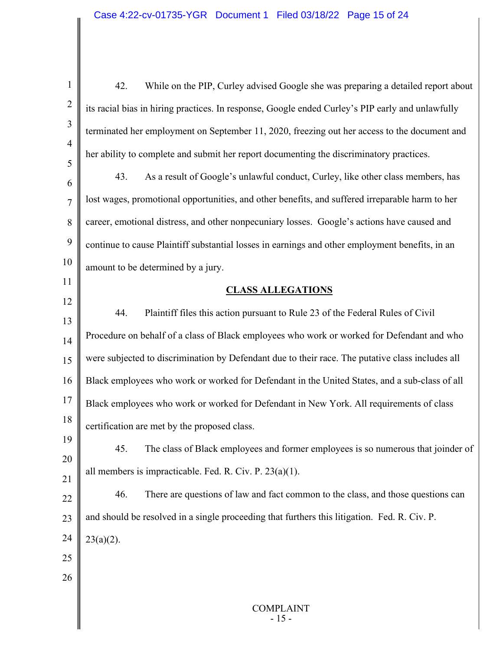| $\mathbf{1}$   | 42.<br>While on the PIP, Curley advised Google she was preparing a detailed report about         |
|----------------|--------------------------------------------------------------------------------------------------|
| $\overline{2}$ | its racial bias in hiring practices. In response, Google ended Curley's PIP early and unlawfully |
| 3              | terminated her employment on September 11, 2020, freezing out her access to the document and     |
| $\overline{4}$ | her ability to complete and submit her report documenting the discriminatory practices.          |
| 5<br>6         | As a result of Google's unlawful conduct, Curley, like other class members, has<br>43.           |
| $\overline{7}$ | lost wages, promotional opportunities, and other benefits, and suffered irreparable harm to her  |
| 8              | career, emotional distress, and other nonpecuniary losses. Google's actions have caused and      |
| $\overline{9}$ | continue to cause Plaintiff substantial losses in earnings and other employment benefits, in an  |
| 10             | amount to be determined by a jury.                                                               |
| 11             | <b>CLASS ALLEGATIONS</b>                                                                         |
| 12             | 44.<br>Plaintiff files this action pursuant to Rule 23 of the Federal Rules of Civil             |
| 13             |                                                                                                  |
| 14             | Procedure on behalf of a class of Black employees who work or worked for Defendant and who       |
| 15             | were subjected to discrimination by Defendant due to their race. The putative class includes all |
| 16             | Black employees who work or worked for Defendant in the United States, and a sub-class of all    |
| 17             | Black employees who work or worked for Defendant in New York. All requirements of class          |
| 18             | certification are met by the proposed class.                                                     |
| 19             | The class of Black employees and former employees is so numerous that joinder of<br>45.          |
| 20<br>21       | all members is impracticable. Fed. R. Civ. P. $23(a)(1)$ .                                       |
| 22             | 46.<br>There are questions of law and fact common to the class, and those questions can          |
| 23             | and should be resolved in a single proceeding that furthers this litigation. Fed. R. Civ. P.     |
| 24             | $23(a)(2)$ .                                                                                     |
| 25             |                                                                                                  |
| 26             |                                                                                                  |
|                |                                                                                                  |
|                | <b>COMPLAINT</b><br>$-15-$                                                                       |
|                |                                                                                                  |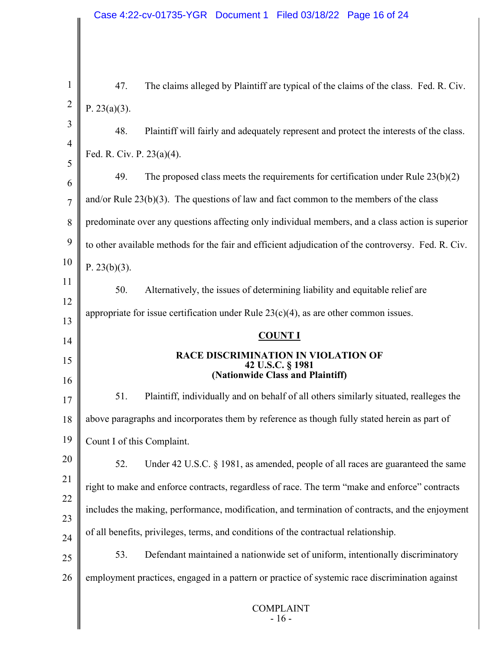COMPLAINT - <sup>16</sup> - 1 2 3 4 5 6 7 8 9 10 11 12 13 14 15 16 17 18 19 20 21 22 23 24 25 26 47. The claims alleged by Plaintiff are typical of the claims of the class. Fed. R. Civ. P. 23(a)(3). 48. Plaintiff will fairly and adequately represent and protect the interests of the class. Fed. R. Civ. P. 23(a)(4). 49. The proposed class meets the requirements for certification under Rule 23(b)(2) and/or Rule  $23(b)(3)$ . The questions of law and fact common to the members of the class predominate over any questions affecting only individual members, and a class action is superior to other available methods for the fair and efficient adjudication of the controversy. Fed. R. Civ. P.  $23(b)(3)$ . 50. Alternatively, the issues of determining liability and equitable relief are appropriate for issue certification under Rule  $23(c)(4)$ , as are other common issues. **COUNT I RACE DISCRIMINATION IN VIOLATION OF 42 U.S.C. § 1981 (Nationwide Class and Plaintiff)** 51. Plaintiff, individually and on behalf of all others similarly situated, realleges the above paragraphs and incorporates them by reference as though fully stated herein as part of Count I of this Complaint. 52. Under 42 U.S.C. § 1981, as amended, people of all races are guaranteed the same right to make and enforce contracts, regardless of race. The term "make and enforce" contracts includes the making, performance, modification, and termination of contracts, and the enjoyment of all benefits, privileges, terms, and conditions of the contractual relationship. 53. Defendant maintained a nationwide set of uniform, intentionally discriminatory employment practices, engaged in a pattern or practice of systemic race discrimination against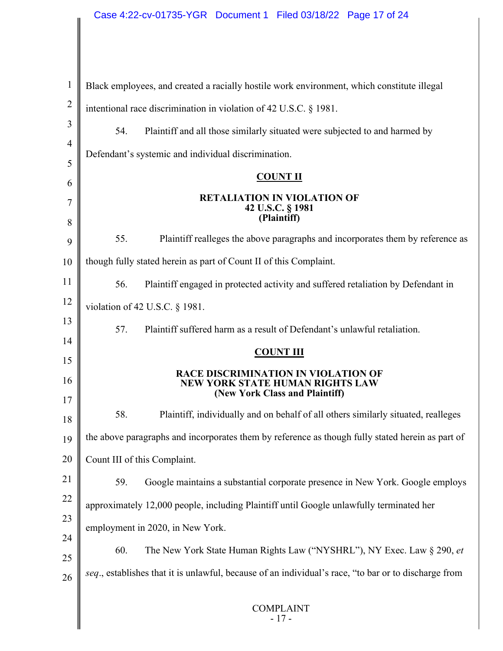$\overline{\phantom{a}}$ 

║

| $\mathbf{1}$        | Black employees, and created a racially hostile work environment, which constitute illegal                             |  |  |
|---------------------|------------------------------------------------------------------------------------------------------------------------|--|--|
| $\overline{2}$      | intentional race discrimination in violation of 42 U.S.C. § 1981.                                                      |  |  |
| 3                   | Plaintiff and all those similarly situated were subjected to and harmed by<br>54.                                      |  |  |
| $\overline{4}$      | Defendant's systemic and individual discrimination.                                                                    |  |  |
| 5                   | <b>COUNT II</b>                                                                                                        |  |  |
| 6                   | <b>RETALIATION IN VIOLATION OF</b>                                                                                     |  |  |
| $\overline{7}$<br>8 | 42 U.S.C. § 1981<br>(Plaintiff)                                                                                        |  |  |
| 9                   | Plaintiff realleges the above paragraphs and incorporates them by reference as<br>55.                                  |  |  |
| 10                  | though fully stated herein as part of Count II of this Complaint.                                                      |  |  |
| 11                  | 56.<br>Plaintiff engaged in protected activity and suffered retaliation by Defendant in                                |  |  |
| 12                  | violation of 42 U.S.C. § 1981.                                                                                         |  |  |
| 13                  | Plaintiff suffered harm as a result of Defendant's unlawful retaliation.<br>57.                                        |  |  |
| 14                  | <b>COUNT III</b>                                                                                                       |  |  |
| 15                  |                                                                                                                        |  |  |
| 16<br>17            | <b>RACE DISCRIMINATION IN VIOLATION OF</b><br><b>NEW YORK STATE HUMAN RIGHTS LAW</b><br>(New York Class and Plaintiff) |  |  |
|                     |                                                                                                                        |  |  |
|                     | 58.<br>Plaintiff, individually and on behalf of all others similarly situated, realleges                               |  |  |
| 18<br>19            | the above paragraphs and incorporates them by reference as though fully stated herein as part of                       |  |  |
| 20                  | Count III of this Complaint.                                                                                           |  |  |
| 21                  | 59.<br>Google maintains a substantial corporate presence in New York. Google employs                                   |  |  |
| 22                  | approximately 12,000 people, including Plaintiff until Google unlawfully terminated her                                |  |  |
| 23                  |                                                                                                                        |  |  |
| 24                  | employment in 2020, in New York.                                                                                       |  |  |
| 25                  | The New York State Human Rights Law ("NYSHRL"), NY Exec. Law § 290, et<br>60.                                          |  |  |
| 26                  | seq., establishes that it is unlawful, because of an individual's race, "to bar or to discharge from                   |  |  |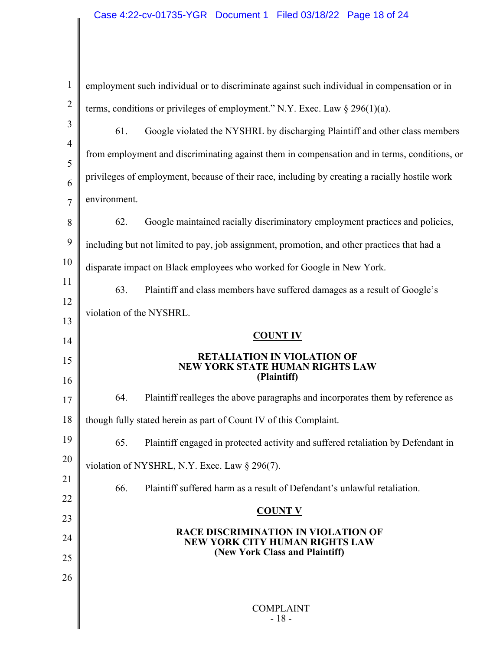$\mathsf{I}$ 

| $\mathbf{1}$   | employment such individual or to discriminate against such individual in compensation or in                           |  |  |
|----------------|-----------------------------------------------------------------------------------------------------------------------|--|--|
| $\overline{2}$ | terms, conditions or privileges of employment." N.Y. Exec. Law $\S 296(1)(a)$ .                                       |  |  |
| 3              | 61.<br>Google violated the NYSHRL by discharging Plaintiff and other class members                                    |  |  |
| $\overline{4}$ | from employment and discriminating against them in compensation and in terms, conditions, or                          |  |  |
| 5<br>6         | privileges of employment, because of their race, including by creating a racially hostile work                        |  |  |
| $\overline{7}$ | environment.                                                                                                          |  |  |
| 8              | 62.<br>Google maintained racially discriminatory employment practices and policies,                                   |  |  |
| 9              | including but not limited to pay, job assignment, promotion, and other practices that had a                           |  |  |
| 10             | disparate impact on Black employees who worked for Google in New York.                                                |  |  |
| 11             | 63.<br>Plaintiff and class members have suffered damages as a result of Google's                                      |  |  |
| 12             | violation of the NYSHRL.                                                                                              |  |  |
| 13             | <b>COUNT IV</b>                                                                                                       |  |  |
| 14             |                                                                                                                       |  |  |
| 15<br>16       | <b>RETALIATION IN VIOLATION OF</b><br><b>NEW YORK STATE HUMAN RIGHTS LAW</b><br>(Plaintiff)                           |  |  |
| 17             | Plaintiff realleges the above paragraphs and incorporates them by reference as<br>64.                                 |  |  |
| 18             | though fully stated herein as part of Count IV of this Complaint.                                                     |  |  |
| 19             | Plaintiff engaged in protected activity and suffered retaliation by Defendant in<br>65.                               |  |  |
| 20             | violation of NYSHRL, N.Y. Exec. Law § 296(7).                                                                         |  |  |
| 21             | 66.<br>Plaintiff suffered harm as a result of Defendant's unlawful retaliation.                                       |  |  |
| 22             | <b>COUNT V</b>                                                                                                        |  |  |
| 23             |                                                                                                                       |  |  |
| 24             | <b>RACE DISCRIMINATION IN VIOLATION OF</b><br><b>NEW YORK CITY HUMAN RIGHTS LAW</b><br>(New York Class and Plaintiff) |  |  |
| 25             |                                                                                                                       |  |  |
| 26             |                                                                                                                       |  |  |
|                | <b>COMPLAINT</b>                                                                                                      |  |  |
|                | $-18-$                                                                                                                |  |  |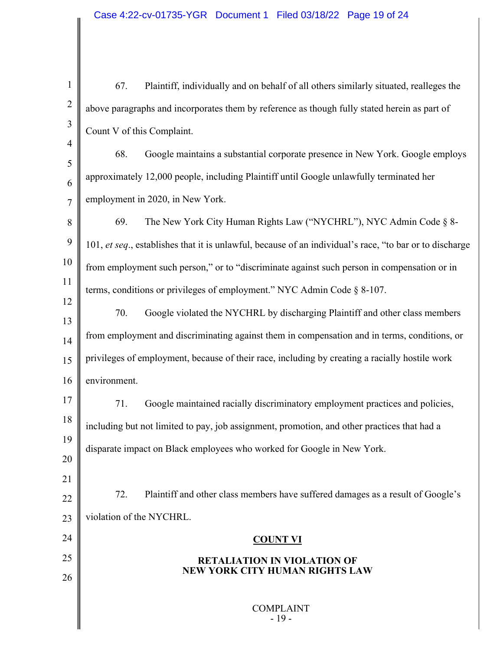COMPLAINT - <sup>19</sup> - 1 2 3 4 5 6 7 8 9 10 11 12 13 14 15 16 17 18 19 20 21 22 23 24 25 26 67. Plaintiff, individually and on behalf of all others similarly situated, realleges the above paragraphs and incorporates them by reference as though fully stated herein as part of Count V of this Complaint. 68. Google maintains a substantial corporate presence in New York. Google employs approximately 12,000 people, including Plaintiff until Google unlawfully terminated her employment in 2020, in New York. 69. The New York City Human Rights Law ("NYCHRL"), NYC Admin Code § 8- 101, *et seq*., establishes that it is unlawful, because of an individual's race, "to bar or to discharge from employment such person," or to "discriminate against such person in compensation or in terms, conditions or privileges of employment." NYC Admin Code § 8-107. 70. Google violated the NYCHRL by discharging Plaintiff and other class members from employment and discriminating against them in compensation and in terms, conditions, or privileges of employment, because of their race, including by creating a racially hostile work environment. 71. Google maintained racially discriminatory employment practices and policies, including but not limited to pay, job assignment, promotion, and other practices that had a disparate impact on Black employees who worked for Google in New York. 72. Plaintiff and other class members have suffered damages as a result of Google's violation of the NYCHRL. **COUNT VI RETALIATION IN VIOLATION OF NEW YORK CITY HUMAN RIGHTS LAW**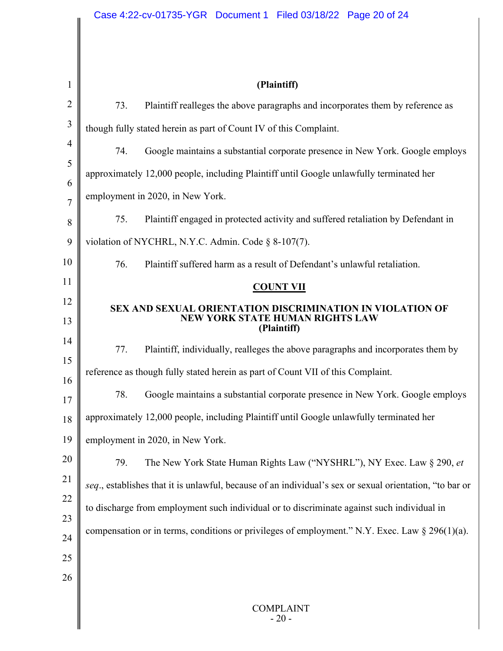| 1              | (Plaintiff)                                                                                                               |
|----------------|---------------------------------------------------------------------------------------------------------------------------|
| $\overline{2}$ | 73.<br>Plaintiff realleges the above paragraphs and incorporates them by reference as                                     |
| 3              | though fully stated herein as part of Count IV of this Complaint.                                                         |
| 4              | Google maintains a substantial corporate presence in New York. Google employs<br>74.                                      |
| 5              | approximately 12,000 people, including Plaintiff until Google unlawfully terminated her                                   |
| 6              | employment in 2020, in New York.                                                                                          |
| $\overline{7}$ | 75.<br>Plaintiff engaged in protected activity and suffered retaliation by Defendant in                                   |
| 8<br>9         | violation of NYCHRL, N.Y.C. Admin. Code § 8-107(7).                                                                       |
| 10             | 76.<br>Plaintiff suffered harm as a result of Defendant's unlawful retaliation.                                           |
| 11             |                                                                                                                           |
| 12             | <b>COUNT VII</b>                                                                                                          |
| 13             | <b>SEX AND SEXUAL ORIENTATION DISCRIMINATION IN VIOLATION OF</b><br><b>NEW YORK STATE HUMAN RIGHTS LAW</b><br>(Plaintiff) |
| 14             | 77.<br>Plaintiff, individually, realleges the above paragraphs and incorporates them by                                   |
| 15             | reference as though fully stated herein as part of Count VII of this Complaint.                                           |
| 16<br>17       | 78.<br>Google maintains a substantial corporate presence in New York. Google employs                                      |
| 18             | approximately 12,000 people, including Plaintiff until Google unlawfully terminated her                                   |
| 19             | employment in 2020, in New York.                                                                                          |
| 20             | The New York State Human Rights Law ("NYSHRL"), NY Exec. Law § 290, et<br>79.                                             |
| 21             | seq., establishes that it is unlawful, because of an individual's sex or sexual orientation, "to bar or                   |
| 22             | to discharge from employment such individual or to discriminate against such individual in                                |
| 23             |                                                                                                                           |
| 24             | compensation or in terms, conditions or privileges of employment." N.Y. Exec. Law $\S 296(1)(a)$ .                        |
| 25             |                                                                                                                           |
| 26             |                                                                                                                           |
|                | <b>COMPLAINT</b><br>$-20-$                                                                                                |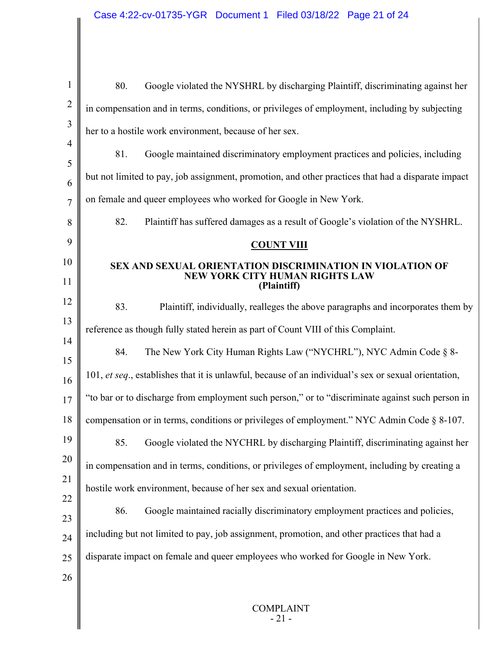| $\mathbf{1}$        | Google violated the NYSHRL by discharging Plaintiff, discriminating against her<br>80.               |  |  |  |
|---------------------|------------------------------------------------------------------------------------------------------|--|--|--|
| $\overline{2}$      | in compensation and in terms, conditions, or privileges of employment, including by subjecting       |  |  |  |
| 3                   | her to a hostile work environment, because of her sex.                                               |  |  |  |
| $\overline{4}$      | 81.<br>Google maintained discriminatory employment practices and policies, including                 |  |  |  |
| 5                   | but not limited to pay, job assignment, promotion, and other practices that had a disparate impact   |  |  |  |
| 6<br>$\overline{7}$ | on female and queer employees who worked for Google in New York.                                     |  |  |  |
| 8                   | 82.<br>Plaintiff has suffered damages as a result of Google's violation of the NYSHRL.               |  |  |  |
| 9                   | <b>COUNT VIII</b>                                                                                    |  |  |  |
| 10                  | <b>SEX AND SEXUAL ORIENTATION DISCRIMINATION IN VIOLATION OF</b>                                     |  |  |  |
| 11                  | <b>NEW YORK CITY HUMAN RIGHTS LAW</b><br>(Plaintiff)                                                 |  |  |  |
| 12                  | 83.<br>Plaintiff, individually, realleges the above paragraphs and incorporates them by              |  |  |  |
| 13                  | reference as though fully stated herein as part of Count VIII of this Complaint.                     |  |  |  |
| 14                  | The New York City Human Rights Law ("NYCHRL"), NYC Admin Code § 8-<br>84.                            |  |  |  |
| 15                  |                                                                                                      |  |  |  |
| 16                  | 101, et seq., establishes that it is unlawful, because of an individual's sex or sexual orientation, |  |  |  |
| 17                  | "to bar or to discharge from employment such person," or to "discriminate against such person in     |  |  |  |
| 18                  | compensation or in terms, conditions or privileges of employment." NYC Admin Code § 8-107.           |  |  |  |
| 19                  | Google violated the NYCHRL by discharging Plaintiff, discriminating against her<br>85.               |  |  |  |
| 20                  | in compensation and in terms, conditions, or privileges of employment, including by creating a       |  |  |  |
| 21                  | hostile work environment, because of her sex and sexual orientation.                                 |  |  |  |
| 22                  | 86.<br>Google maintained racially discriminatory employment practices and policies,                  |  |  |  |
| 23                  | including but not limited to pay, job assignment, promotion, and other practices that had a          |  |  |  |
| 24                  |                                                                                                      |  |  |  |
| 25                  | disparate impact on female and queer employees who worked for Google in New York.                    |  |  |  |
| 26                  |                                                                                                      |  |  |  |
|                     | <b>COMPLAINT</b><br>$-21-$                                                                           |  |  |  |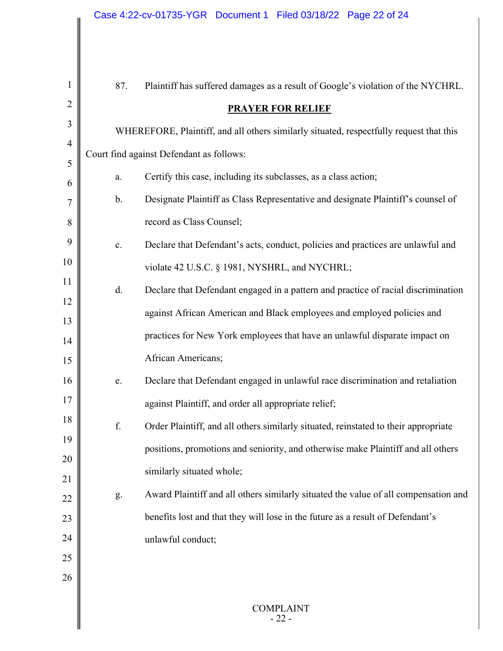| $\mathbf{1}$        | 87.                                                                                     | Plaintiff has suffered damages as a result of Google's violation of the NYCHRL.     |  |  |  |
|---------------------|-----------------------------------------------------------------------------------------|-------------------------------------------------------------------------------------|--|--|--|
| $\overline{2}$      | <b>PRAYER FOR RELIEF</b>                                                                |                                                                                     |  |  |  |
| 3                   | WHEREFORE, Plaintiff, and all others similarly situated, respectfully request that this |                                                                                     |  |  |  |
| $\overline{4}$      | Court find against Defendant as follows:                                                |                                                                                     |  |  |  |
| 5                   | a.                                                                                      | Certify this case, including its subclasses, as a class action;                     |  |  |  |
| 6<br>$\overline{7}$ | b.                                                                                      | Designate Plaintiff as Class Representative and designate Plaintiff's counsel of    |  |  |  |
| 8                   |                                                                                         | record as Class Counsel;                                                            |  |  |  |
| 9                   | $\mathbf{c}.$                                                                           | Declare that Defendant's acts, conduct, policies and practices are unlawful and     |  |  |  |
| 10                  |                                                                                         | violate 42 U.S.C. § 1981, NYSHRL, and NYCHRL;                                       |  |  |  |
| 11                  |                                                                                         |                                                                                     |  |  |  |
| 12                  | d.                                                                                      | Declare that Defendant engaged in a pattern and practice of racial discrimination   |  |  |  |
| 13                  |                                                                                         | against African American and Black employees and employed policies and              |  |  |  |
| 14                  |                                                                                         | practices for New York employees that have an unlawful disparate impact on          |  |  |  |
| 15                  |                                                                                         | African Americans;                                                                  |  |  |  |
| 16                  | e.                                                                                      | Declare that Defendant engaged in unlawful race discrimination and retaliation      |  |  |  |
| 17                  |                                                                                         | against Plaintiff, and order all appropriate relief;                                |  |  |  |
| 18                  | f.                                                                                      | Order Plaintiff, and all others similarly situated, reinstated to their appropriate |  |  |  |
| 19                  |                                                                                         | positions, promotions and seniority, and otherwise make Plaintiff and all others    |  |  |  |
| 20                  |                                                                                         | similarly situated whole;                                                           |  |  |  |
| 21                  |                                                                                         | Award Plaintiff and all others similarly situated the value of all compensation and |  |  |  |
| 22                  | g.                                                                                      |                                                                                     |  |  |  |
| 23                  |                                                                                         | benefits lost and that they will lose in the future as a result of Defendant's      |  |  |  |
| 24                  |                                                                                         | unlawful conduct;                                                                   |  |  |  |
| 25                  |                                                                                         |                                                                                     |  |  |  |
| 26                  |                                                                                         |                                                                                     |  |  |  |
|                     |                                                                                         | <b>COMPLAINT</b><br>$-22-$                                                          |  |  |  |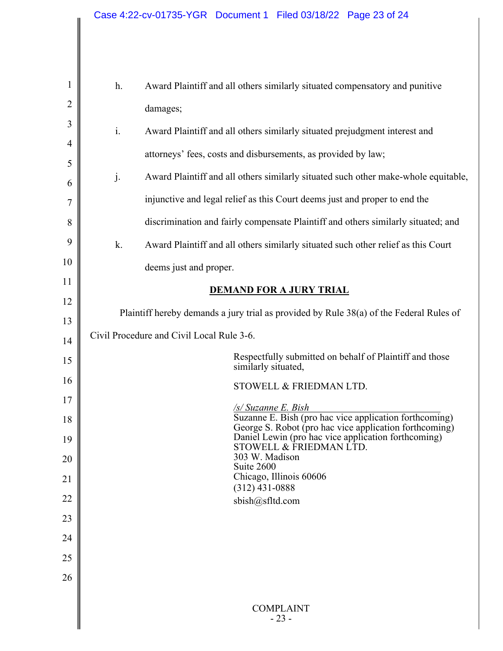$\mathsf{I}$ 

 $\parallel$ 

| $\mathbf{1}$<br>$\overline{2}$ | Award Plaintiff and all others similarly situated compensatory and punitive<br>h.                                |                                                                                    |  |  |
|--------------------------------|------------------------------------------------------------------------------------------------------------------|------------------------------------------------------------------------------------|--|--|
|                                |                                                                                                                  | damages;                                                                           |  |  |
| 3                              | $\mathbf{i}$ .                                                                                                   | Award Plaintiff and all others similarly situated prejudgment interest and         |  |  |
| $\overline{4}$                 |                                                                                                                  | attorneys' fees, costs and disbursements, as provided by law;                      |  |  |
| 5                              | j.                                                                                                               | Award Plaintiff and all others similarly situated such other make-whole equitable, |  |  |
| 6<br>7                         | injunctive and legal relief as this Court deems just and proper to end the                                       |                                                                                    |  |  |
| 8                              |                                                                                                                  | discrimination and fairly compensate Plaintiff and others similarly situated; and  |  |  |
| 9                              | k.                                                                                                               |                                                                                    |  |  |
| 10                             |                                                                                                                  | Award Plaintiff and all others similarly situated such other relief as this Court  |  |  |
| 11                             |                                                                                                                  | deems just and proper.                                                             |  |  |
| 12                             | <b>DEMAND FOR A JURY TRIAL</b>                                                                                   |                                                                                    |  |  |
| 13                             | Plaintiff hereby demands a jury trial as provided by Rule 38(a) of the Federal Rules of                          |                                                                                    |  |  |
| 14                             | Civil Procedure and Civil Local Rule 3-6.                                                                        |                                                                                    |  |  |
| 15                             |                                                                                                                  | Respectfully submitted on behalf of Plaintiff and those<br>similarly situated,     |  |  |
| 16                             | STOWELL & FRIEDMAN LTD.                                                                                          |                                                                                    |  |  |
| 17                             | /s/ Suzanne E. Bish                                                                                              |                                                                                    |  |  |
| 18                             | Suzanne E. Bish (pro hac vice application forthcoming)<br>George S. Robot (pro hac vice application forthcoming) |                                                                                    |  |  |
| 19                             |                                                                                                                  | Daniel Lewin (pro hac vice application forthcoming)<br>STOWELL & FRIEDMAN LTD.     |  |  |
| 20                             | 303 W. Madison<br>Suite 2600                                                                                     |                                                                                    |  |  |
| 21                             | Chicago, Illinois 60606<br>$(312)$ 431-0888                                                                      |                                                                                    |  |  |
| 22                             |                                                                                                                  | sbish@sfltd.com                                                                    |  |  |
| 23                             |                                                                                                                  |                                                                                    |  |  |
| 24                             |                                                                                                                  |                                                                                    |  |  |
| 25                             |                                                                                                                  |                                                                                    |  |  |
| 26                             |                                                                                                                  |                                                                                    |  |  |
|                                |                                                                                                                  | <b>COMPLAINT</b><br>$-23-$                                                         |  |  |